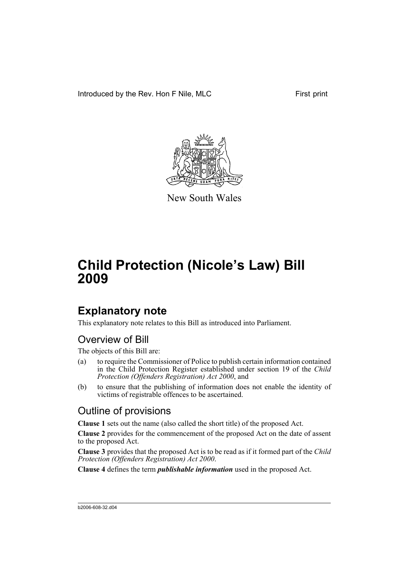Introduced by the Rev. Hon F Nile, MLC First print



New South Wales

# **Child Protection (Nicole's Law) Bill 2009**

## **Explanatory note**

This explanatory note relates to this Bill as introduced into Parliament.

## Overview of Bill

The objects of this Bill are:

- (a) to require the Commissioner of Police to publish certain information contained in the Child Protection Register established under section 19 of the *Child Protection (Offenders Registration) Act 2000*, and
- (b) to ensure that the publishing of information does not enable the identity of victims of registrable offences to be ascertained.

## Outline of provisions

**Clause 1** sets out the name (also called the short title) of the proposed Act.

**Clause 2** provides for the commencement of the proposed Act on the date of assent to the proposed Act.

**Clause 3** provides that the proposed Act is to be read as if it formed part of the *Child Protection (Offenders Registration) Act 2000*.

**Clause 4** defines the term *publishable information* used in the proposed Act.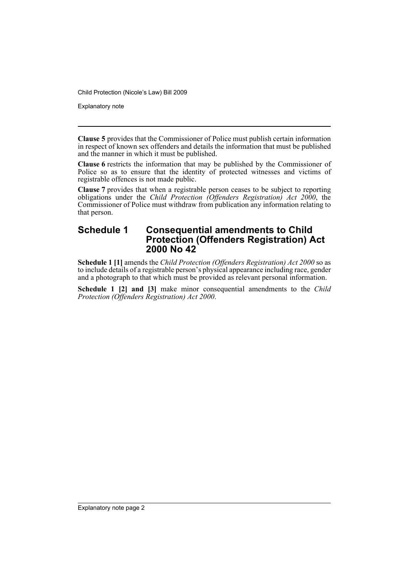Child Protection (Nicole's Law) Bill 2009

Explanatory note

**Clause 5** provides that the Commissioner of Police must publish certain information in respect of known sex offenders and details the information that must be published and the manner in which it must be published.

**Clause 6** restricts the information that may be published by the Commissioner of Police so as to ensure that the identity of protected witnesses and victims of registrable offences is not made public.

**Clause 7** provides that when a registrable person ceases to be subject to reporting obligations under the *Child Protection (Offenders Registration) Act 2000*, the Commissioner of Police must withdraw from publication any information relating to that person.

### **Schedule 1 Consequential amendments to Child Protection (Offenders Registration) Act 2000 No 42**

**Schedule 1 [1]** amends the *Child Protection (Offenders Registration) Act 2000* so as to include details of a registrable person's physical appearance including race, gender and a photograph to that which must be provided as relevant personal information.

**Schedule 1 [2] and [3]** make minor consequential amendments to the *Child Protection (Offenders Registration) Act 2000*.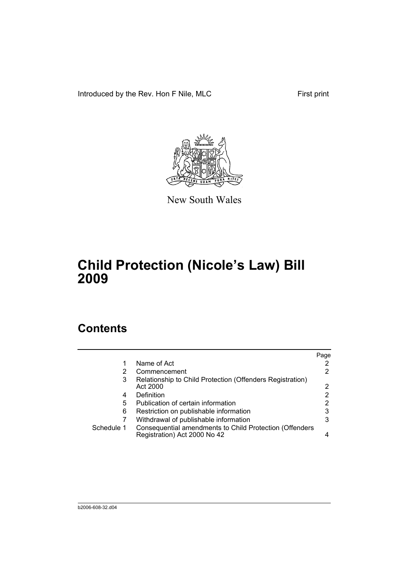Introduced by the Rev. Hon F Nile, MLC First print



New South Wales

# **Child Protection (Nicole's Law) Bill 2009**

## **Contents**

|            |                                                                                         | Page |
|------------|-----------------------------------------------------------------------------------------|------|
|            | Name of Act                                                                             |      |
| 2          | Commencement                                                                            | 2    |
| 3          | Relationship to Child Protection (Offenders Registration)<br>Act 2000                   | 2    |
| 4          | Definition                                                                              | 2    |
| 5          | Publication of certain information                                                      | 2    |
| 6          | Restriction on publishable information                                                  | 3    |
|            | Withdrawal of publishable information                                                   | 3    |
| Schedule 1 | Consequential amendments to Child Protection (Offenders<br>Registration) Act 2000 No 42 |      |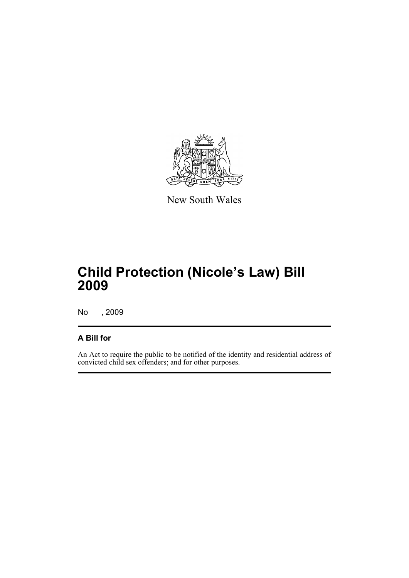

New South Wales

# **Child Protection (Nicole's Law) Bill 2009**

No , 2009

### **A Bill for**

An Act to require the public to be notified of the identity and residential address of convicted child sex offenders; and for other purposes.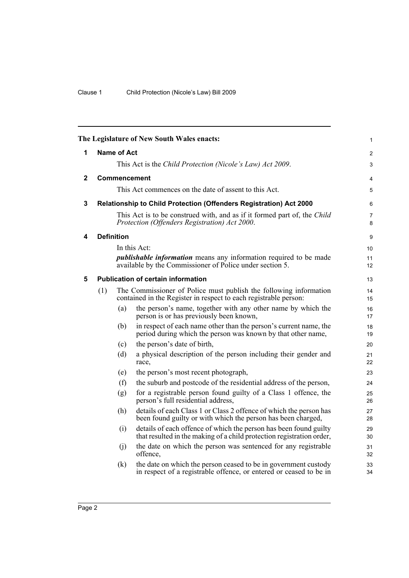<span id="page-5-4"></span><span id="page-5-3"></span><span id="page-5-2"></span><span id="page-5-1"></span><span id="page-5-0"></span>

| The Legislature of New South Wales enacts: |     |                   | $\mathbf{1}$                                                                                                                               |                     |
|--------------------------------------------|-----|-------------------|--------------------------------------------------------------------------------------------------------------------------------------------|---------------------|
| 1                                          |     | Name of Act       |                                                                                                                                            | $\overline{2}$      |
|                                            |     |                   | This Act is the Child Protection (Nicole's Law) Act 2009.                                                                                  | 3                   |
| $\mathbf{2}$                               |     |                   | Commencement                                                                                                                               | $\overline{4}$      |
|                                            |     |                   | This Act commences on the date of assent to this Act.                                                                                      | 5                   |
| 3                                          |     |                   | Relationship to Child Protection (Offenders Registration) Act 2000                                                                         | 6                   |
|                                            |     |                   | This Act is to be construed with, and as if it formed part of, the Child<br>Protection (Offenders Registration) Act 2000.                  | $\overline{7}$<br>8 |
| 4                                          |     | <b>Definition</b> |                                                                                                                                            | 9                   |
|                                            |     |                   | In this Act:                                                                                                                               | 10                  |
|                                            |     |                   | <i>publishable information</i> means any information required to be made<br>available by the Commissioner of Police under section 5.       | 11<br>12            |
| 5                                          |     |                   | <b>Publication of certain information</b>                                                                                                  | 13                  |
|                                            | (1) |                   | The Commissioner of Police must publish the following information<br>contained in the Register in respect to each registrable person:      | 14<br>15            |
|                                            |     | (a)               | the person's name, together with any other name by which the<br>person is or has previously been known,                                    | 16<br>17            |
|                                            |     | (b)               | in respect of each name other than the person's current name, the<br>period during which the person was known by that other name,          | 18<br>19            |
|                                            |     | (c)               | the person's date of birth,                                                                                                                | 20                  |
|                                            |     | (d)               | a physical description of the person including their gender and<br>race,                                                                   | 21<br>22            |
|                                            |     | (e)               | the person's most recent photograph,                                                                                                       | 23                  |
|                                            |     | (f)               | the suburb and postcode of the residential address of the person,                                                                          | 24                  |
|                                            |     | (g)               | for a registrable person found guilty of a Class 1 offence, the<br>person's full residential address,                                      | 25<br>26            |
|                                            |     | (h)               | details of each Class 1 or Class 2 offence of which the person has<br>been found guilty or with which the person has been charged,         | 27<br>28            |
|                                            |     | (i)               | details of each offence of which the person has been found guilty<br>that resulted in the making of a child protection registration order, | 29<br>30            |
|                                            |     | (i)               | the date on which the person was sentenced for any registrable<br>offence.                                                                 | 31<br>32            |
|                                            |     | (k)               | the date on which the person ceased to be in government custody<br>in respect of a registrable offence, or entered or ceased to be in      | 33<br>34            |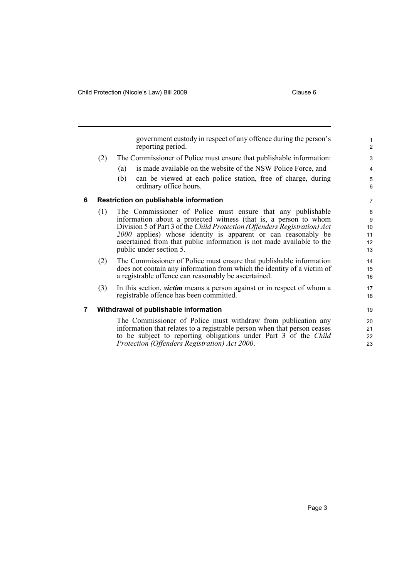<span id="page-6-1"></span><span id="page-6-0"></span>government custody in respect of any offence during the person's reporting period. (2) The Commissioner of Police must ensure that publishable information: (a) is made available on the website of the NSW Police Force, and (b) can be viewed at each police station, free of charge, during ordinary office hours. **6 Restriction on publishable information** (1) The Commissioner of Police must ensure that any publishable information about a protected witness (that is, a person to whom Division 5 of Part 3 of the *Child Protection (Offenders Registration) Act 2000* applies) whose identity is apparent or can reasonably be ascertained from that public information is not made available to the public under section 5. (2) The Commissioner of Police must ensure that publishable information does not contain any information from which the identity of a victim of a registrable offence can reasonably be ascertained. (3) In this section, *victim* means a person against or in respect of whom a registrable offence has been committed. **7 Withdrawal of publishable information** The Commissioner of Police must withdraw from publication any information that relates to a registrable person when that person ceases to be subject to reporting obligations under Part 3 of the *Child Protection (Offenders Registration) Act 2000*. 1 2 3 4 5 6 7 8 9 10 11 12 13 14 15 16 17 18 19 20 21  $22$ 23